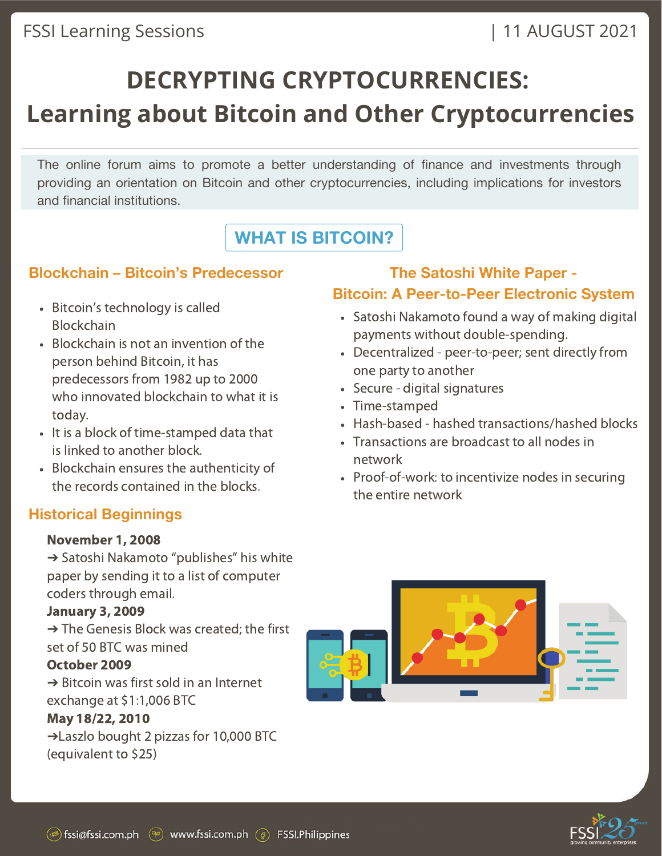## FSSI Learning Sessions | 11 AUGUST 2021

## **DECRYPTING CRYPTOCURRENCIES: Learning about Bitcoin and Other Cryptocurrencies**

The online forum aims to promote a better understanding of finance and investments through providing an orientation on Bitcoin and other cryptocurrencies, including implications for investors and financial institutions.

## **WHAT IS BITCOIN?**

## **Blockchain – Bitcoin's Predecessor**

- Bitcoin's technology is called Blockchain
- Blockchain is not an invention of the person behind Bitcoin, it has predecessors from 1982 up to 2000 who innovated blockchain to what it is today.
- It is a block of time-stamped data that is linked to another block.
- Blockchain ensures the authenticity of the records contained in the blocks.

## **Historical Beginnings**

#### November 1, 2008

➔ Satoshi Nakamoto "publishes" his white paper by sending it to a list of computer coders through email.

### January 3, 2009

➔ The Genesis Block was created; the first set of 50 BTC was mined

### October 2009

 $\rightarrow$  Bitcoin was first sold in an Internet exchange at \$1:1,006 BTC

### May 18/22, 2010

➔Laszlo bought 2 pizzas for 10,000 BTC (equivalent to \$25)

## **The Satoshi White Paper - Bitcoin: A Peer-to-Peer Electronic System**

### Satoshi Nakamoto found a way of making digital payments without double-spending.

- Decentralized peer-to-peer; sent directly from one party to another
- Secure digital signatures
- Time-stamped
- Hash-based hashed transactions/hashed blocks
- Transactions are broadcast to all nodes in network
- Proof-of-work: to incentivize nodes in securing the entire network



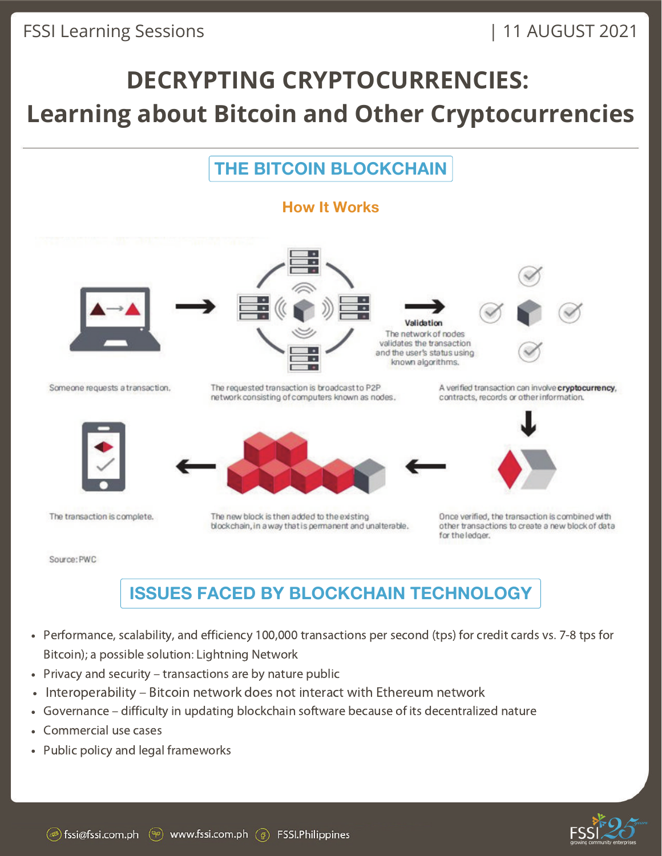## **THE BITCOIN BLOCKCHAIN**



Source: PWC

## **ISSUES FACED BY BLOCKCHAIN TECHNOLOGY**

- Performance, scalability, and efficiency 100,000 transactions per second (tps) for credit cards vs. 7-8 tps for Bitcoin); a possible solution: Lightning Network
- Privacy and security transactions are by nature public  $\bullet$
- Interoperability Bitcoin network does not interact with Ethereum network  $\bullet$
- $\bullet$ Governance – difficulty in updating blockchain software because of its decentralized nature
- Commercial use cases
- Public policy and legal frameworks

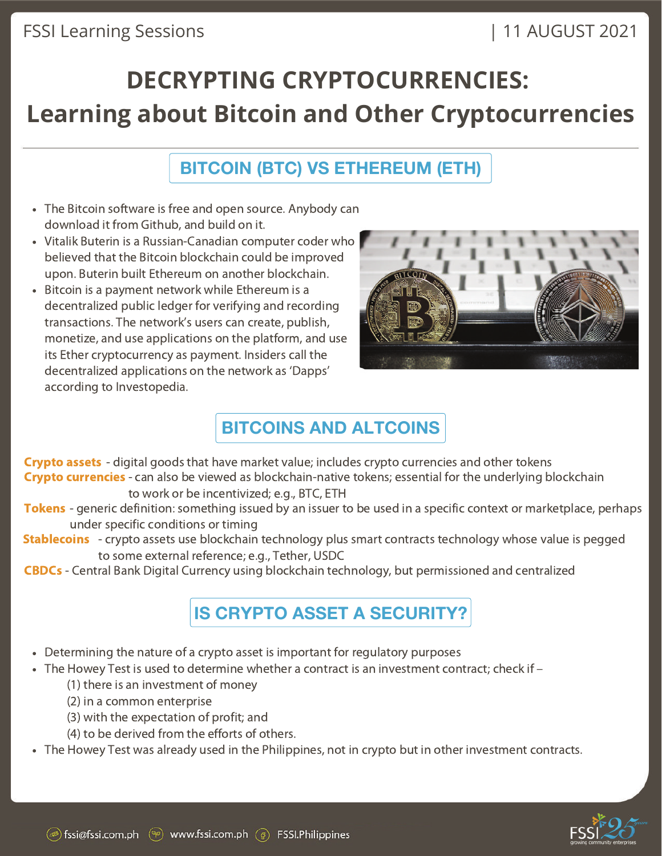## FSSI Learning Sessions

## | 11 AUGUST 2021

## **DECRYPTING CRYPTOCURRENCIES: Learning about Bitcoin and Other Cryptocurrencies**

## **BITCOIN (BTC) VS ETHEREUM (ETH)**

- The Bitcoin software is free and open source. Anybody can download it from Github, and build on it.
- Vitalik Buterin is a Russian-Canadian computer coder who believed that the Bitcoin blockchain could be improved upon. Buterin built Ethereum on another blockchain.
- Bitcoin is a payment network while Ethereum is a decentralized public ledger for verifying and recording transactions. The network's users can create, publish, monetize, and use applications on the platform, and use its Ether cryptocurrency as payment. Insiders call the decentralized applications on the network as 'Dapps' according to Investopedia.



## **BITCOINS AND ALTCOINS**

Crypto assets - digital goods that have market value; includes crypto currencies and other tokens Crypto currencies - can also be viewed as blockchain-native tokens; essential for the underlying blockchain to work or be incentivized; e.g., BTC, ETH

- **Tokens** generic definition: something issued by an issuer to be used in a specific context or marketplace, perhaps under specific conditions or timing
- **Stablecoins** crypto assets use blockchain technology plus smart contracts technology whose value is pegged to some external reference; e.g., Tether, USDC

CBDCs - Central Bank Digital Currency using blockchain technology, but permissioned and centralized

## **IS CRYPTO ASSET A SECURITY?**

- Determining the nature of a crypto asset is important for regulatory purposes
- $\bullet$  The Howey Test is used to determine whether a contract is an investment contract; check if  $-$ 
	- (1) there is an investment of money
	- (2) in a common enterprise
	- (3) with the expectation of profit; and
	- (4) to be derived from the efforts of others.
- The Howey Test was already used in the Philippines, not in crypto but in other investment contracts.

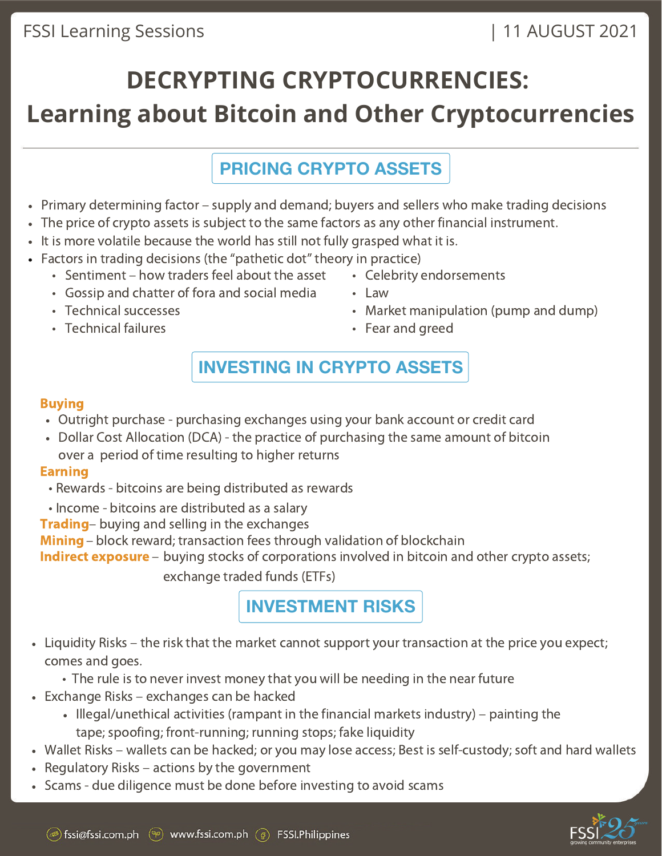## FSSI Learning Sessions

# **DECRYPTING CRYPTOCURRENCIES: Learning about Bitcoin and Other Cryptocurrencies**

## **PRICING CRYPTO ASSETS**

- Primary determining factor supply and demand; buyers and sellers who make trading decisions
- The price of crypto assets is subject to the same factors as any other financial instrument.
- It is more volatile because the world has still not fully grasped what it is.
- Factors in trading decisions (the "pathetic dot" theory in practice)
	- Sentiment how traders feel about the asset
	- Gossip and chatter of fora and social media
	- Technical successes
	- Technical failures
- Celebrity endorsements
- Law
- Market manipulation (pump and dump)
- Fear and greed

## **INVESTING IN CRYPTO ASSETS**

### Buying

- Outright purchase purchasing exchanges using your bank account or credit card
- Dollar Cost Allocation (DCA) the practice of purchasing the same amount of bitcoin over a period of time resulting to higher returns

### Earning

- Rewards bitcoins are being distributed as rewards
- Income bitcoins are distributed as a salary
- **Trading** buving and selling in the exchanges

Mining – block reward; transaction fees through validation of blockchain

Indirect exposure – buving stocks of corporations involved in bitcoin and other crypto assets;

exchange traded funds (ETFs)

**INVESTMENT RISKS**

- Liquidity Risks the risk that the market cannot support your transaction at the price you expect; comes and goes.
	- The rule is to never invest money that you will be needing in the near future
- Exchange Risks exchanges can be hacked
	- Illegal/unethical activities (rampant in the financial markets industry) painting the tape; spoofing; front-running; running stops; fake liquidity
- Wallet Risks wallets can be hacked; or you may lose access; Best is self-custody; soft and hard wallets
- $\cdot$  Regulatory Risks actions by the government
- Scams due diligence must be done before investing to avoid scams

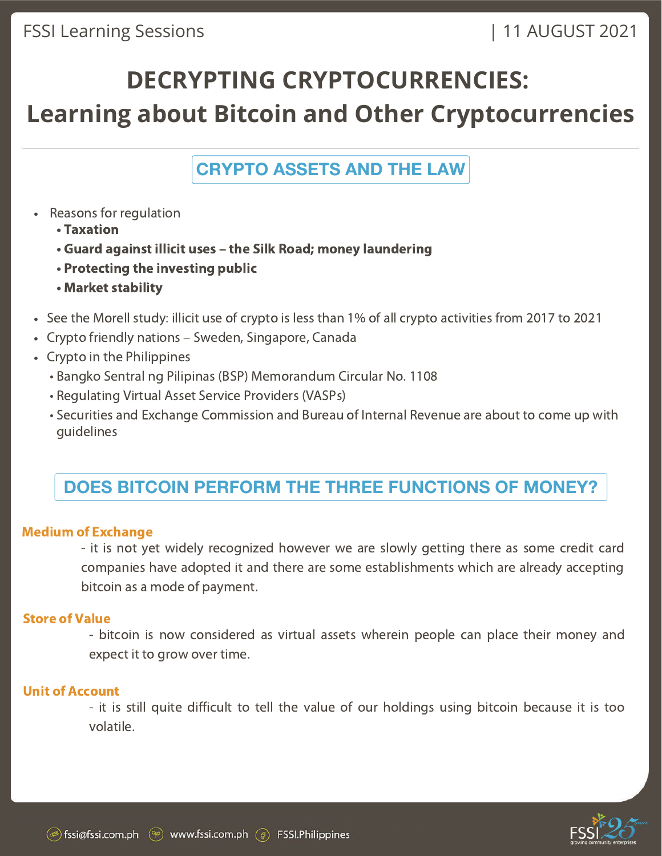**CRYPTO ASSETS AND THE LAW**

- Reasons for regulation
	- Taxation
	- Guard against illicit uses the Silk Road; money laundering
	- Protecting the investing public
	- Market stability
- See the Morell study: illicit use of crypto is less than 1% of all crypto activities from 2017 to 2021
- Crypto friendly nations Sweden, Singapore, Canada
- Crypto in the Philippines
	- Bangko Sentral ng Pilipinas (BSP) Memorandum Circular No. 1108
	- Regulating Virtual Asset Service Providers (VASPs)
	- Securities and Exchange Commission and Bureau of Internal Revenue are about to come up with guidelines

## **DOES BITCOIN PERFORM THE THREE FUNCTIONS OF MONEY?**

#### Medium of Exchange

- it is not yet widely recognized however we are slowly getting there as some credit card companies have adopted it and there are some establishments which are already accepting bitcoin as a mode of payment.

#### Store of Value

- bitcoin is now considered as virtual assets wherein people can place their money and expect it to grow over time.

### Unit of Account

- it is still quite difficult to tell the value of our holdings using bitcoin because it is too volatile.

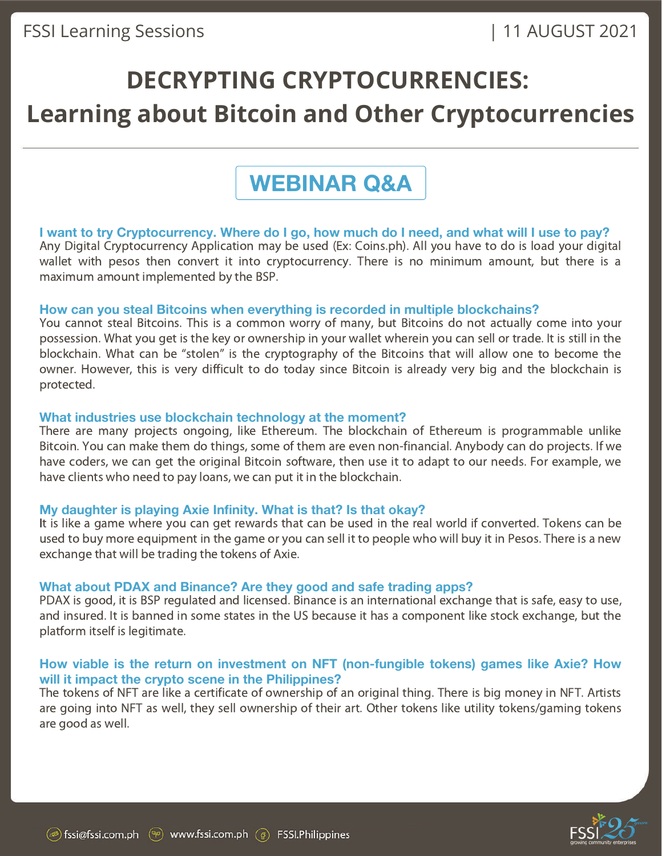## **WEBINAR Q&A**

#### I want to try Cryptocurrency. Where do I go, how much do I need, and what will I use to pay?

Any Digital Cryptocurrency Application may be used (Ex: Coins.ph). All you have to do is load your digital wallet with pesos then convert it into cryptocurrency. There is no minimum amount, but there is a maximum amount implemented by the BSP.

#### **How can you steal Bitcoins when everything is recorded in multiple blockchains?**

You cannot steal Bitcoins. This is a common worry of many, but Bitcoins do not actually come into your possession. What you get is the key or ownership in your wallet wherein you can sell or trade. It is still in the blockchain. What can be "stolen" is the cryptography of the Bitcoins that will allow one to become the owner. However, this is very difficult to do today since Bitcoin is already very big and the blockchain is protected.

#### **What industries use blockchain technology at the moment?**

There are many projects ongoing, like Ethereum. The blockchain of Ethereum is programmable unlike Bitcoin. You can make them do things, some of them are even non-financial. Anybody can do projects. If we have coders, we can get the original Bitcoin software, then use it to adapt to our needs. For example, we have clients who need to pay loans, we can put it in the blockchain.

#### **My daughter is playing Axie Infinity. What is that? Is that okay?**

It is like a game where you can get rewards that can be used in the real world if converted. Tokens can be used to buy more equipment in the game or you can sell it to people who will buy it in Pesos. There is a new exchange that will be trading the tokens of Axie.

#### **What about PDAX and Binance? Are they good and safe trading apps?**

PDAX is good, it is BSP regulated and licensed. Binance is an international exchange that is safe, easy to use, and insured. It is banned in some states in the US because it has a component like stock exchange, but the platform itself is legitimate.

#### **How viable is the return on investment on NFT (non-fungible tokens) games like Axie? How will it impact the crypto scene in the Philippines?**

The tokens of NFT are like a certificate of ownership of an original thing. There is big money in NFT. Artists are going into NFT as well, they sell ownership of their art. Other tokens like utility tokens/gaming tokens are good as well.